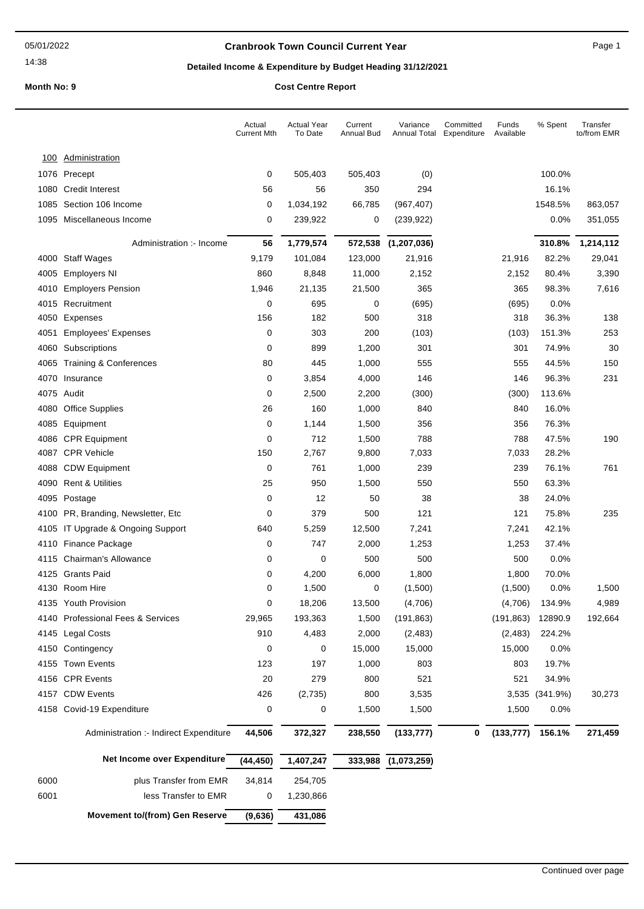14:38

### **Cranbrook Town Council Current Year** Page 1

## **Detailed Income & Expenditure by Budget Heading 31/12/2021**

**Month No: 9 Cost Centre Report**

|              |                                                 | Actual<br><b>Current Mth</b> | <b>Actual Year</b><br>To Date | Current<br>Annual Bud | Variance<br>Annual Total | Committed<br>Expenditure | Funds<br>Available | % Spent        | Transfer<br>to/from EMR |
|--------------|-------------------------------------------------|------------------------------|-------------------------------|-----------------------|--------------------------|--------------------------|--------------------|----------------|-------------------------|
| <u>100</u>   | <b>Administration</b>                           |                              |                               |                       |                          |                          |                    |                |                         |
|              | 1076 Precept                                    | 0                            | 505,403                       | 505,403               | (0)                      |                          |                    | 100.0%         |                         |
| 1080         | <b>Credit Interest</b>                          | 56                           | 56                            | 350                   | 294                      |                          |                    | 16.1%          |                         |
| 1085         | Section 106 Income                              | 0                            | 1,034,192                     | 66,785                | (967, 407)               |                          |                    | 1548.5%        | 863,057                 |
|              | 1095 Miscellaneous Income                       | 0                            | 239,922                       | 0                     | (239, 922)               |                          |                    | 0.0%           | 351,055                 |
|              |                                                 |                              |                               |                       |                          |                          |                    |                |                         |
|              | Administration :- Income                        | 56                           | 1,779,574                     | 572,538               | (1, 207, 036)            |                          |                    | 310.8%         | 1,214,112               |
|              | 4000 Staff Wages                                | 9,179                        | 101,084                       | 123,000               | 21,916                   |                          | 21,916             | 82.2%          | 29,041                  |
| 4005<br>4010 | <b>Employers NI</b><br><b>Employers Pension</b> | 860<br>1,946                 | 8,848<br>21,135               | 11,000<br>21,500      | 2,152<br>365             |                          | 2,152<br>365       | 80.4%<br>98.3% | 3,390<br>7,616          |
|              | 4015 Recruitment                                | 0                            | 695                           | 0                     | (695)                    |                          | (695)              | 0.0%           |                         |
|              | 4050 Expenses                                   | 156                          | 182                           | 500                   | 318                      |                          | 318                | 36.3%          | 138                     |
|              | 4051 Employees' Expenses                        | 0                            | 303                           | 200                   | (103)                    |                          | (103)              | 151.3%         | 253                     |
| 4060         | Subscriptions                                   | 0                            | 899                           | 1,200                 | 301                      |                          | 301                | 74.9%          | 30                      |
| 4065         | <b>Training &amp; Conferences</b>               | 80                           | 445                           | 1,000                 | 555                      |                          | 555                | 44.5%          | 150                     |
|              | 4070 Insurance                                  | 0                            | 3,854                         | 4,000                 | 146                      |                          | 146                | 96.3%          | 231                     |
|              | 4075 Audit                                      | 0                            | 2,500                         | 2,200                 | (300)                    |                          | (300)              | 113.6%         |                         |
| 4080         | <b>Office Supplies</b>                          | 26                           | 160                           | 1,000                 | 840                      |                          | 840                | 16.0%          |                         |
|              | 4085 Equipment                                  | 0                            | 1,144                         | 1,500                 | 356                      |                          | 356                | 76.3%          |                         |
|              | 4086 CPR Equipment                              | 0                            | 712                           | 1,500                 | 788                      |                          | 788                | 47.5%          | 190                     |
|              | 4087 CPR Vehicle                                | 150                          | 2,767                         | 9,800                 | 7,033                    |                          | 7,033              | 28.2%          |                         |
| 4088         | <b>CDW Equipment</b>                            | 0                            | 761                           | 1,000                 | 239                      |                          | 239                | 76.1%          | 761                     |
| 4090         | <b>Rent &amp; Utilities</b>                     | 25                           | 950                           | 1,500                 | 550                      |                          | 550                | 63.3%          |                         |
|              | 4095 Postage                                    | 0                            | 12                            | 50                    | 38                       |                          | 38                 | 24.0%          |                         |
|              | 4100 PR, Branding, Newsletter, Etc.             | 0                            | 379                           | 500                   | 121                      |                          | 121                | 75.8%          | 235                     |
|              | 4105 IT Upgrade & Ongoing Support               | 640                          | 5,259                         | 12,500                | 7,241                    |                          | 7,241              | 42.1%          |                         |
|              | 4110 Finance Package                            | 0                            | 747                           | 2,000                 | 1,253                    |                          | 1,253              | 37.4%          |                         |
|              | 4115 Chairman's Allowance                       | 0                            | 0                             | 500                   | 500                      |                          | 500                | 0.0%           |                         |
|              | 4125 Grants Paid                                | 0                            | 4,200                         | 6,000                 | 1,800                    |                          | 1,800              | 70.0%          |                         |
|              | 4130 Room Hire                                  | 0                            | 1,500                         | 0                     | (1,500)                  |                          | (1,500)            | $0.0\%$        | 1,500                   |
|              | 4135 Youth Provision                            | 0                            | 18,206                        | 13,500                | (4,706)                  |                          | (4,706)            | 134.9%         | 4,989                   |
|              | 4140 Professional Fees & Services               | 29,965                       | 193,363                       | 1,500                 | (191, 863)               |                          | (191, 863)         | 12890.9        | 192,664                 |
|              | 4145 Legal Costs                                | 910                          | 4,483                         | 2,000                 | (2, 483)                 |                          | (2, 483)           | 224.2%         |                         |
|              | 4150 Contingency                                | 0                            | 0                             | 15,000                | 15,000                   |                          | 15,000             | 0.0%           |                         |
|              | 4155 Town Events                                | 123                          | 197                           | 1,000                 | 803                      |                          | 803                | 19.7%          |                         |
|              | 4156 CPR Events                                 | 20                           | 279                           | 800                   | 521                      |                          | 521                | 34.9%          |                         |
|              | 4157 CDW Events                                 | 426                          | (2,735)                       | 800                   | 3,535                    |                          |                    | 3,535 (341.9%) | 30,273                  |
|              | 4158 Covid-19 Expenditure                       | 0                            | 0                             | 1,500                 | 1,500                    |                          | 1,500              | 0.0%           |                         |
|              | Administration :- Indirect Expenditure          | 44,506                       | 372,327                       | 238,550               | (133, 777)               | 0                        | (133, 777)         | 156.1%         | 271,459                 |
|              | Net Income over Expenditure                     | (44, 450)                    | 1,407,247                     | 333,988               | (1,073,259)              |                          |                    |                |                         |
| 6000         | plus Transfer from EMR                          | 34,814                       | 254,705                       |                       |                          |                          |                    |                |                         |
| 6001         | less Transfer to EMR                            | 0                            | 1,230,866                     |                       |                          |                          |                    |                |                         |
|              | <b>Movement to/(from) Gen Reserve</b>           | (9,636)                      | 431,086                       |                       |                          |                          |                    |                |                         |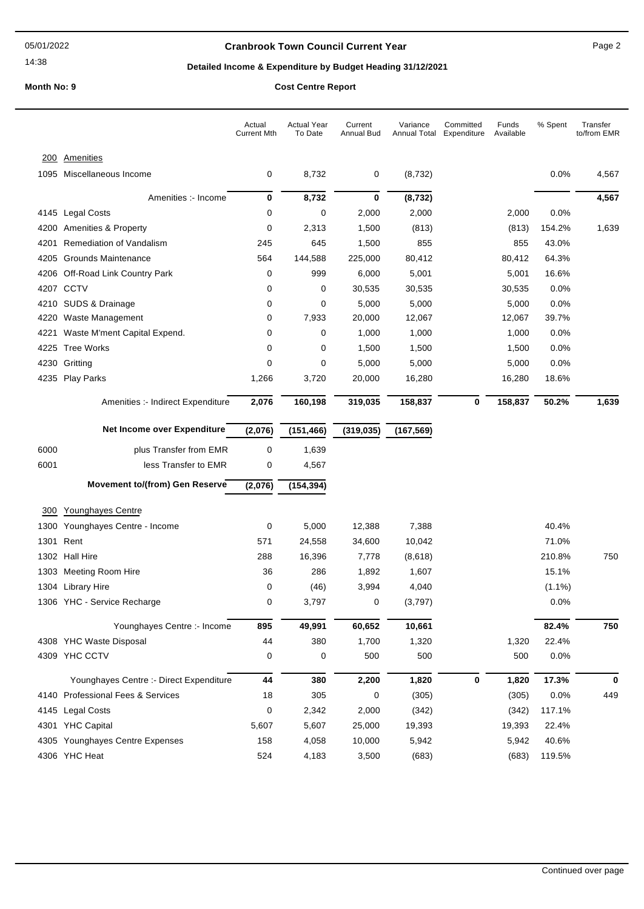14:38

### **Cranbrook Town Council Current Year** Page 2

### **Detailed Income & Expenditure by Budget Heading 31/12/2021**

**Month No: 9 Contract Centre Report Centre Report** C

|  |  | Cost Centre Report |
|--|--|--------------------|
|--|--|--------------------|

|             |                                         | Actual<br><b>Current Mth</b> | <b>Actual Year</b><br>To Date | Current<br>Annual Bud | Variance<br>Annual Total | Committed<br>Expenditure | Funds<br>Available | % Spent   | Transfer<br>to/from EMR |
|-------------|-----------------------------------------|------------------------------|-------------------------------|-----------------------|--------------------------|--------------------------|--------------------|-----------|-------------------------|
| <u> 200</u> | <b>Amenities</b>                        |                              |                               |                       |                          |                          |                    |           |                         |
|             | 1095 Miscellaneous Income               | 0                            | 8,732                         | 0                     | (8, 732)                 |                          |                    | 0.0%      | 4,567                   |
|             | Amenities :- Income                     | 0                            | 8,732                         | $\bf{0}$              | (8, 732)                 |                          |                    |           | 4,567                   |
|             | 4145 Legal Costs                        | 0                            | 0                             | 2,000                 | 2,000                    |                          | 2,000              | 0.0%      |                         |
| 4200        | <b>Amenities &amp; Property</b>         | 0                            | 2,313                         | 1,500                 | (813)                    |                          | (813)              | 154.2%    | 1,639                   |
| 4201        | Remediation of Vandalism                | 245                          | 645                           | 1,500                 | 855                      |                          | 855                | 43.0%     |                         |
| 4205        | Grounds Maintenance                     | 564                          | 144,588                       | 225,000               | 80,412                   |                          | 80,412             | 64.3%     |                         |
|             | 4206 Off-Road Link Country Park         | 0                            | 999                           | 6,000                 | 5,001                    |                          | 5,001              | 16.6%     |                         |
|             | 4207 CCTV                               | 0                            | 0                             | 30,535                | 30,535                   |                          | 30,535             | 0.0%      |                         |
|             | 4210 SUDS & Drainage                    | 0                            | 0                             | 5,000                 | 5,000                    |                          | 5,000              | 0.0%      |                         |
| 4220        | Waste Management                        | 0                            | 7,933                         | 20,000                | 12,067                   |                          | 12,067             | 39.7%     |                         |
| 4221        | Waste M'ment Capital Expend.            | 0                            | 0                             | 1,000                 | 1,000                    |                          | 1,000              | 0.0%      |                         |
|             | 4225 Tree Works                         | 0                            | 0                             | 1,500                 | 1,500                    |                          | 1,500              | 0.0%      |                         |
|             | 4230 Gritting                           | 0                            | 0                             | 5,000                 | 5,000                    |                          | 5,000              | 0.0%      |                         |
|             | 4235 Play Parks                         | 1,266                        | 3,720                         | 20,000                | 16,280                   |                          | 16,280             | 18.6%     |                         |
|             | Amenities :- Indirect Expenditure       | 2,076                        | 160,198                       | 319,035               | 158,837                  | 0                        | 158,837            | 50.2%     | 1,639                   |
|             | Net Income over Expenditure             | (2,076)                      | (151, 466)                    | (319, 035)            | (167, 569)               |                          |                    |           |                         |
| 6000        | plus Transfer from EMR                  | 0                            | 1,639                         |                       |                          |                          |                    |           |                         |
| 6001        | less Transfer to EMR                    | 0                            | 4,567                         |                       |                          |                          |                    |           |                         |
|             | <b>Movement to/(from) Gen Reserve</b>   | (2,076)                      | (154, 394)                    |                       |                          |                          |                    |           |                         |
|             |                                         |                              |                               |                       |                          |                          |                    |           |                         |
| 300         | Younghayes Centre                       |                              |                               |                       |                          |                          |                    |           |                         |
| 1300        | Younghayes Centre - Income              | 0                            | 5,000                         | 12,388                | 7,388                    |                          |                    | 40.4%     |                         |
| 1301        | Rent                                    | 571                          | 24,558                        | 34,600                | 10,042                   |                          |                    | 71.0%     |                         |
|             | 1302 Hall Hire                          | 288                          | 16,396                        | 7,778                 | (8,618)                  |                          |                    | 210.8%    | 750                     |
|             | 1303 Meeting Room Hire                  | 36                           | 286                           | 1,892                 | 1,607                    |                          |                    | 15.1%     |                         |
|             | 1304 Library Hire                       | 0                            | (46)                          | 3,994                 | 4,040                    |                          |                    | $(1.1\%)$ |                         |
|             | 1306 YHC - Service Recharge             | 0                            | 3,797                         | 0                     | (3,797)                  |                          |                    | 0.0%      |                         |
|             | Younghayes Centre :- Income             | 895                          | 49,991                        | 60,652                | 10,661                   |                          |                    | 82.4%     | 750                     |
|             | 4308 YHC Waste Disposal                 | 44                           | 380                           | 1,700                 | 1,320                    |                          | 1,320              | 22.4%     |                         |
|             | 4309 YHC CCTV                           | 0                            | 0                             | 500                   | 500                      |                          | 500                | 0.0%      |                         |
|             | Younghayes Centre :- Direct Expenditure | 44                           | 380                           | 2,200                 | 1,820                    | 0                        | 1,820              | 17.3%     | 0                       |
|             | 4140 Professional Fees & Services       | 18                           | 305                           | 0                     | (305)                    |                          | (305)              | 0.0%      | 449                     |
|             | 4145 Legal Costs                        | $\pmb{0}$                    | 2,342                         | 2,000                 | (342)                    |                          | (342)              | 117.1%    |                         |
|             | 4301 YHC Capital                        | 5,607                        | 5,607                         | 25,000                | 19,393                   |                          | 19,393             | 22.4%     |                         |
|             | 4305 Younghayes Centre Expenses         | 158                          | 4,058                         | 10,000                | 5,942                    |                          | 5,942              | 40.6%     |                         |
|             | 4306 YHC Heat                           | 524                          | 4,183                         | 3,500                 | (683)                    |                          | (683)              | 119.5%    |                         |
|             |                                         |                              |                               |                       |                          |                          |                    |           |                         |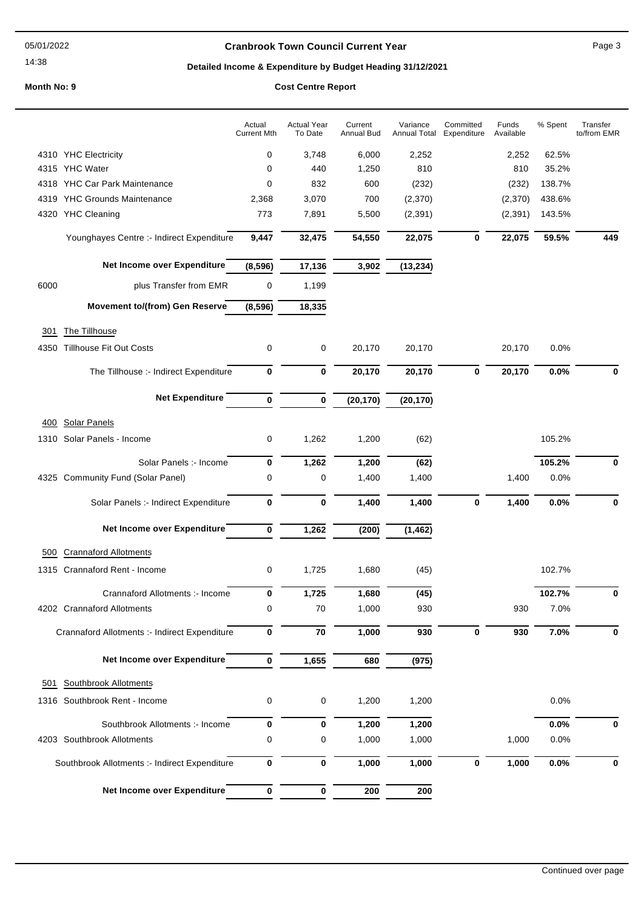14:38

### **Cranbrook Town Council Current Year** Page 3

## **Detailed Income & Expenditure by Budget Heading 31/12/2021**

# **Month No: 9 Cost Centre Report**

|      |                                               | Actual<br><b>Current Mth</b> | <b>Actual Year</b><br>To Date | Current<br>Annual Bud | Variance<br><b>Annual Total</b> | Committed<br>Expenditure | Funds<br>Available | % Spent | Transfer<br>to/from EMR |
|------|-----------------------------------------------|------------------------------|-------------------------------|-----------------------|---------------------------------|--------------------------|--------------------|---------|-------------------------|
|      | 4310 YHC Electricity                          | 0                            | 3,748                         | 6,000                 | 2,252                           |                          | 2,252              | 62.5%   |                         |
|      | 4315 YHC Water                                | 0                            | 440                           | 1,250                 | 810                             |                          | 810                | 35.2%   |                         |
|      | 4318 YHC Car Park Maintenance                 | 0                            | 832                           | 600                   | (232)                           |                          | (232)              | 138.7%  |                         |
|      | 4319 YHC Grounds Maintenance                  | 2,368                        | 3,070                         | 700                   | (2,370)                         |                          | (2,370)            | 438.6%  |                         |
|      | 4320 YHC Cleaning                             | 773                          | 7,891                         | 5,500                 | (2, 391)                        |                          | (2, 391)           | 143.5%  |                         |
|      | Younghayes Centre :- Indirect Expenditure     | 9,447                        | 32,475                        | 54,550                | 22,075                          | $\mathbf 0$              | 22,075             | 59.5%   | 449                     |
|      | Net Income over Expenditure                   | (8, 596)                     | 17,136                        | 3,902                 | (13, 234)                       |                          |                    |         |                         |
| 6000 | plus Transfer from EMR                        | 0                            | 1,199                         |                       |                                 |                          |                    |         |                         |
|      | <b>Movement to/(from) Gen Reserve</b>         | (8,596)                      | 18,335                        |                       |                                 |                          |                    |         |                         |
| 301  | The Tillhouse                                 |                              |                               |                       |                                 |                          |                    |         |                         |
| 4350 | <b>Tillhouse Fit Out Costs</b>                | 0                            | 0                             | 20,170                | 20,170                          |                          | 20,170             | 0.0%    |                         |
|      | The Tillhouse :- Indirect Expenditure         | 0                            | 0                             | 20,170                | 20,170                          | $\bf{0}$                 | 20,170             | 0.0%    | 0                       |
|      | <b>Net Expenditure</b>                        | 0                            | 0                             | (20, 170)             | (20, 170)                       |                          |                    |         |                         |
| 400  | <b>Solar Panels</b>                           |                              |                               |                       |                                 |                          |                    |         |                         |
|      | 1310 Solar Panels - Income                    | 0                            | 1,262                         | 1,200                 | (62)                            |                          |                    | 105.2%  |                         |
|      | Solar Panels :- Income                        | 0                            | 1,262                         | 1,200                 | (62)                            |                          |                    | 105.2%  | $\bf{0}$                |
|      | 4325 Community Fund (Solar Panel)             | 0                            | 0                             | 1,400                 | 1,400                           |                          | 1,400              | 0.0%    |                         |
|      | Solar Panels :- Indirect Expenditure          | 0                            | 0                             | 1,400                 | 1,400                           | $\bf{0}$                 | 1,400              | 0.0%    | 0                       |
|      | Net Income over Expenditure                   | 0                            | 1,262                         | (200)                 | (1, 462)                        |                          |                    |         |                         |
| 500  | <b>Crannaford Allotments</b>                  |                              |                               |                       |                                 |                          |                    |         |                         |
|      | 1315 Crannaford Rent - Income                 | 0                            | 1,725                         | 1,680                 | (45)                            |                          |                    | 102.7%  |                         |
|      | Crannaford Allotments :- Income               | 0                            | 1,725                         | 1,680                 | (45)                            |                          |                    | 102.7%  | 0                       |
|      | 4202 Crannaford Allotments                    | $\pmb{0}$                    | 70                            | 1,000                 | 930                             |                          | 930                | 7.0%    |                         |
|      | Crannaford Allotments :- Indirect Expenditure | 0                            | 70                            | 1,000                 | 930                             | $\bf{0}$                 | 930                | 7.0%    | 0                       |
|      | Net Income over Expenditure                   | 0                            | 1,655                         | 680                   | (975)                           |                          |                    |         |                         |
| 501  | <b>Southbrook Allotments</b>                  |                              |                               |                       |                                 |                          |                    |         |                         |
|      | 1316 Southbrook Rent - Income                 | 0                            | 0                             | 1,200                 | 1,200                           |                          |                    | 0.0%    |                         |
|      | Southbrook Allotments :- Income               | 0                            | 0                             | 1,200                 | 1,200                           |                          |                    | 0.0%    | 0                       |
|      | 4203 Southbrook Allotments                    | 0                            | 0                             | 1,000                 | 1,000                           |                          | 1,000              | 0.0%    |                         |
|      | Southbrook Allotments :- Indirect Expenditure | 0                            | $\pmb{0}$                     | 1,000                 | 1,000                           | $\bf{0}$                 | 1,000              | 0.0%    | 0                       |
|      | Net Income over Expenditure                   | 0                            | 0                             | 200                   | 200                             |                          |                    |         |                         |
|      |                                               |                              |                               |                       |                                 |                          |                    |         |                         |